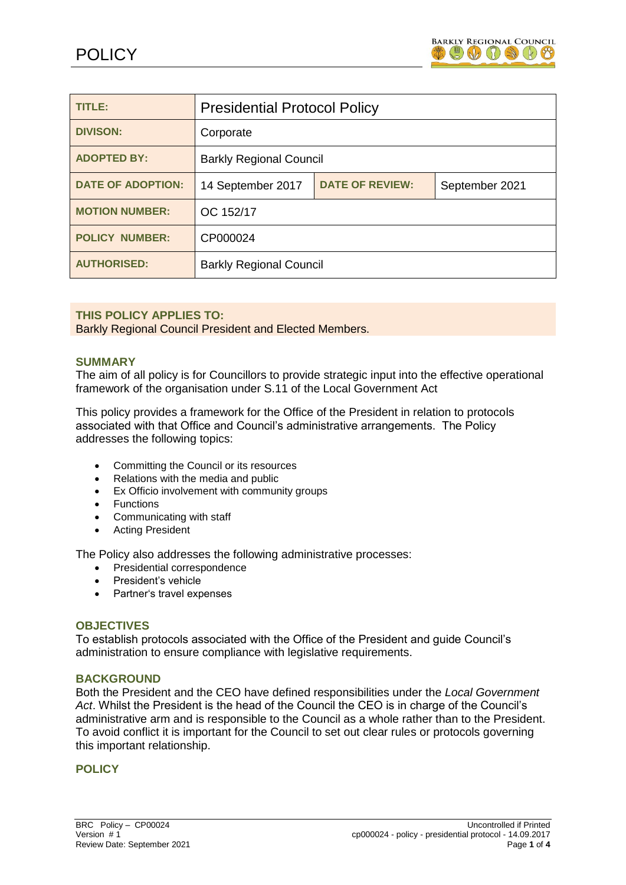

| TITLE:                   | <b>Presidential Protocol Policy</b> |                        |                |
|--------------------------|-------------------------------------|------------------------|----------------|
| <b>DIVISON:</b>          | Corporate                           |                        |                |
| <b>ADOPTED BY:</b>       | <b>Barkly Regional Council</b>      |                        |                |
| <b>DATE OF ADOPTION:</b> | 14 September 2017                   | <b>DATE OF REVIEW:</b> | September 2021 |
| <b>MOTION NUMBER:</b>    | OC 152/17                           |                        |                |
| <b>POLICY NUMBER:</b>    | CP000024                            |                        |                |
| <b>AUTHORISED:</b>       | <b>Barkly Regional Council</b>      |                        |                |

## **THIS POLICY APPLIES TO:**

Barkly Regional Council President and Elected Members.

#### **SUMMARY**

The aim of all policy is for Councillors to provide strategic input into the effective operational framework of the organisation under S.11 of the Local Government Act

This policy provides a framework for the Office of the President in relation to protocols associated with that Office and Council's administrative arrangements. The Policy addresses the following topics:

- Committing the Council or its resources
- Relations with the media and public
- Ex Officio involvement with community groups
- Functions
- Communicating with staff
- Acting President

The Policy also addresses the following administrative processes:

- Presidential correspondence
- President's vehicle
- Partner's travel expenses

#### **OBJECTIVES**

To establish protocols associated with the Office of the President and guide Council's administration to ensure compliance with legislative requirements.

#### **BACKGROUND**

Both the President and the CEO have defined responsibilities under the *Local Government Act*. Whilst the President is the head of the Council the CEO is in charge of the Council's administrative arm and is responsible to the Council as a whole rather than to the President. To avoid conflict it is important for the Council to set out clear rules or protocols governing this important relationship.

#### **POLICY**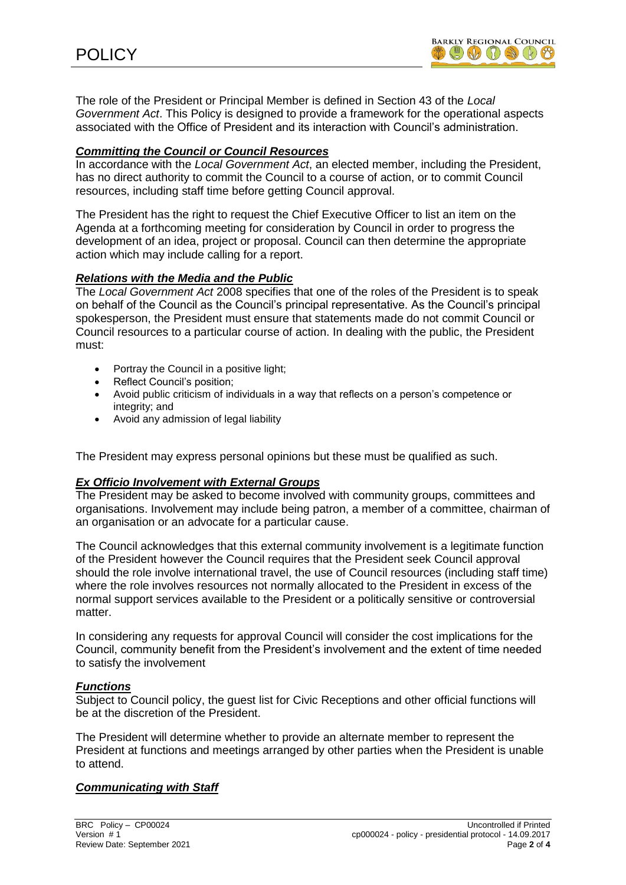The role of the President or Principal Member is defined in Section 43 of the *Local Government Act*. This Policy is designed to provide a framework for the operational aspects associated with the Office of President and its interaction with Council's administration.

# *Committing the Council or Council Resources*

In accordance with the *Local Government Act*, an elected member, including the President, has no direct authority to commit the Council to a course of action, or to commit Council resources, including staff time before getting Council approval.

The President has the right to request the Chief Executive Officer to list an item on the Agenda at a forthcoming meeting for consideration by Council in order to progress the development of an idea, project or proposal. Council can then determine the appropriate action which may include calling for a report.

### *Relations with the Media and the Public*

The *Local Government Act* 2008 specifies that one of the roles of the President is to speak on behalf of the Council as the Council's principal representative. As the Council's principal spokesperson, the President must ensure that statements made do not commit Council or Council resources to a particular course of action. In dealing with the public, the President must:

- Portray the Council in a positive light;
- Reflect Council's position;
- Avoid public criticism of individuals in a way that reflects on a person's competence or integrity; and
- Avoid any admission of legal liability

The President may express personal opinions but these must be qualified as such.

### *Ex Officio Involvement with External Groups*

The President may be asked to become involved with community groups, committees and organisations. Involvement may include being patron, a member of a committee, chairman of an organisation or an advocate for a particular cause.

The Council acknowledges that this external community involvement is a legitimate function of the President however the Council requires that the President seek Council approval should the role involve international travel, the use of Council resources (including staff time) where the role involves resources not normally allocated to the President in excess of the normal support services available to the President or a politically sensitive or controversial matter.

In considering any requests for approval Council will consider the cost implications for the Council, community benefit from the President's involvement and the extent of time needed to satisfy the involvement

### *Functions*

Subject to Council policy, the guest list for Civic Receptions and other official functions will be at the discretion of the President.

The President will determine whether to provide an alternate member to represent the President at functions and meetings arranged by other parties when the President is unable to attend.

### *Communicating with Staff*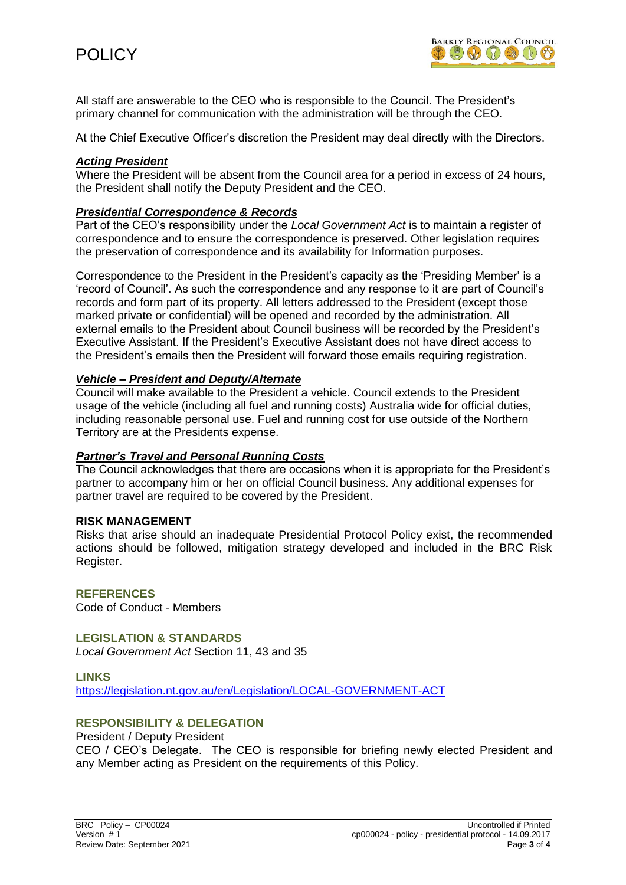All staff are answerable to the CEO who is responsible to the Council. The President's primary channel for communication with the administration will be through the CEO.

At the Chief Executive Officer's discretion the President may deal directly with the Directors.

### *Acting President*

Where the President will be absent from the Council area for a period in excess of 24 hours, the President shall notify the Deputy President and the CEO.

#### *Presidential Correspondence & Records*

Part of the CEO's responsibility under the *Local Government Act* is to maintain a register of correspondence and to ensure the correspondence is preserved. Other legislation requires the preservation of correspondence and its availability for Information purposes.

Correspondence to the President in the President's capacity as the 'Presiding Member' is a 'record of Council'. As such the correspondence and any response to it are part of Council's records and form part of its property. All letters addressed to the President (except those marked private or confidential) will be opened and recorded by the administration. All external emails to the President about Council business will be recorded by the President's Executive Assistant. If the President's Executive Assistant does not have direct access to the President's emails then the President will forward those emails requiring registration.

#### *Vehicle – President and Deputy/Alternate*

Council will make available to the President a vehicle. Council extends to the President usage of the vehicle (including all fuel and running costs) Australia wide for official duties, including reasonable personal use. Fuel and running cost for use outside of the Northern Territory are at the Presidents expense.

#### *Partner's Travel and Personal Running Costs*

The Council acknowledges that there are occasions when it is appropriate for the President's partner to accompany him or her on official Council business. Any additional expenses for partner travel are required to be covered by the President.

#### **RISK MANAGEMENT**

Risks that arise should an inadequate Presidential Protocol Policy exist, the recommended actions should be followed, mitigation strategy developed and included in the BRC Risk Register.

## **REFERENCES**

Code of Conduct - Members

**LEGISLATION & STANDARDS** *Local Government Act* Section 11, 43 and 35

#### **LINKS**

<https://legislation.nt.gov.au/en/Legislation/LOCAL-GOVERNMENT-ACT>

### **RESPONSIBILITY & DELEGATION**

President / Deputy President

CEO / CEO's Delegate. The CEO is responsible for briefing newly elected President and any Member acting as President on the requirements of this Policy.